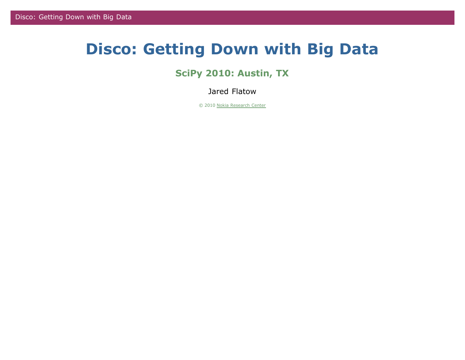## **Disco: Getting Down with Big Data**

### **SciPy 2010: Austin, TX**

Jared Flatow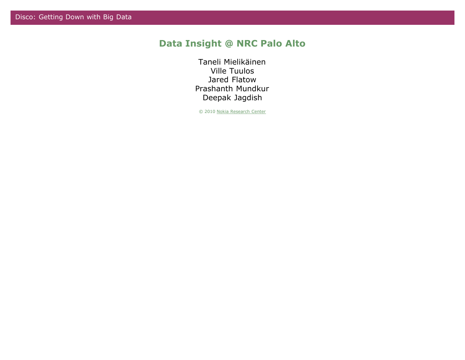### **Data Insight @ NRC Palo Alto**

Taneli Mielikäinen Ville Tuulos Jared Flatow Prashanth Mundkur Deepak Jagdish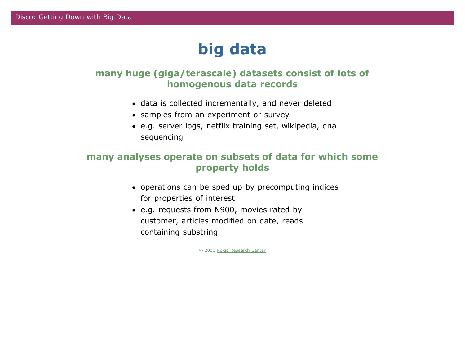# **big data**

### **many huge (giga/terascale) datasets consist of lots of homogenous data records**

- data is collected incrementally, and never deleted
- samples from an experiment or survey
- e.g. server logs, netflix training set, wikipedia, dna sequencing

#### **many analyses operate on subsets of data for which some property holds**

- operations can be sped up by precomputing indices for properties of interest
- e.g. requests from N900, movies rated by customer, articles modified on date, reads containing substring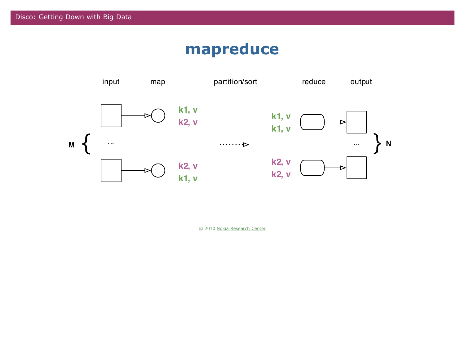# **mapreduce**

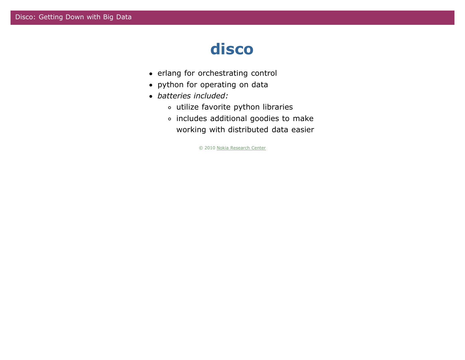## **disco**

- erlang for orchestrating control
- python for operating on data
- *batteries included:*
	- utilize favorite python libraries
	- includes additional goodies to make working with distributed data easier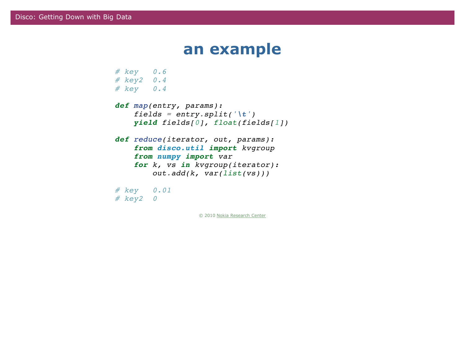### **an example**

```
# key 0.6
# key2 0.4
# key 0.4
def map(entry, params):
    fields = entry.split('t') yield fields[0], float(fields[1])
def reduce(iterator, out, params):
     from disco.util import kvgroup
     from numpy import var
     for k, vs in kvgroup(iterator):
         out.add(k, var(list(vs)))
# key 0.01
# key2 0
```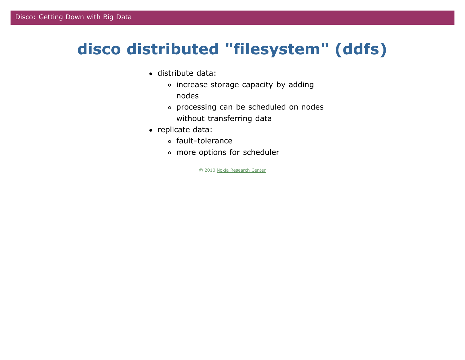# **disco distributed "filesystem" (ddfs)**

- distribute data:
	- increase storage capacity by adding nodes
	- processing can be scheduled on nodes without transferring data
- replicate data:
	- o fault-tolerance
	- more options for scheduler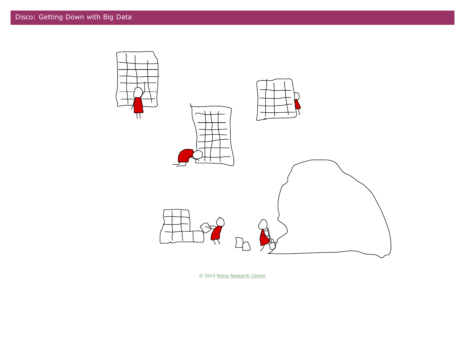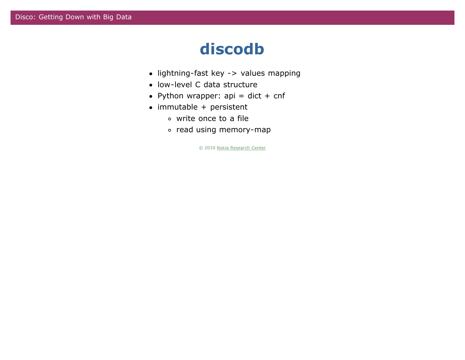# **discodb**

- lightning-fast key -> values mapping
- low-level C data structure
- Python wrapper:  $api = dict + cnf$
- immutable + persistent
	- write once to a file
	- read using memory-map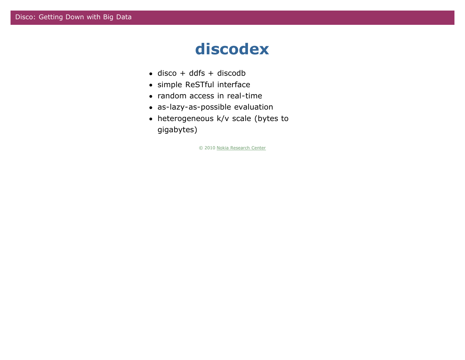## **discodex**

- $\bullet$  disco + ddfs + discodb
- simple ReSTful interface
- random access in real-time
- as-lazy-as-possible evaluation
- heterogeneous k/v scale (bytes to gigabytes)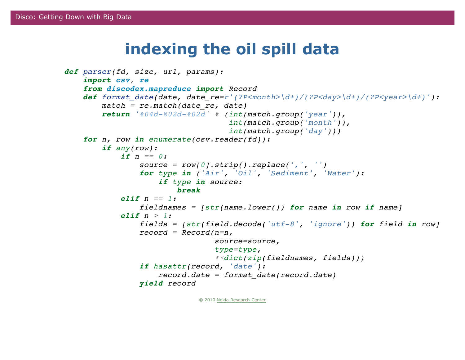## **indexing the oil spill data**

```
def parser(fd, size, url, params):
     import csv, re
     from discodex.mapreduce import Record
     def format_date(date, date_re=r'(?P<month>\d+)/(?P<day>\d+)/(?P<year>\d+)'):
         match = re.match(date_re, date)
         return '%04d-%02d-%02d' % (int(match.group('year')),
                                     int(match.group('month')),
                                     int(match.group('day')))
     for n, row in enumerate(csv.reader(fd)):
         if any(row):
             if n == 0:
                 source = row[0].strip().replace(',', '')
                  for type in ('Air', 'Oil', 'Sediment', 'Water'):
                      if type in source:
                          break
             elif n == 1:
                 fieldnames = [str(name.lower()) for name in row if name]
             elif n > 1:
                 fields = [str(field.decode('utf-8', 'ignore')) for field in row]
                 record = Record(n=n,
                                  source=source,
                                 type=type,
                                 **dict(zip(fieldnames, fields)))
                 if hasattr(record, 'date'):
                      record.date = format_date(record.date)
                 yield record
```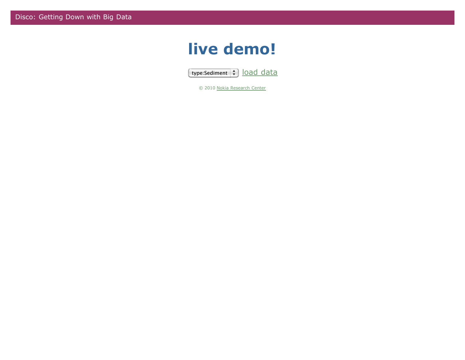# **live demo!**

type:Sediment : [load data](javascript:loadData())